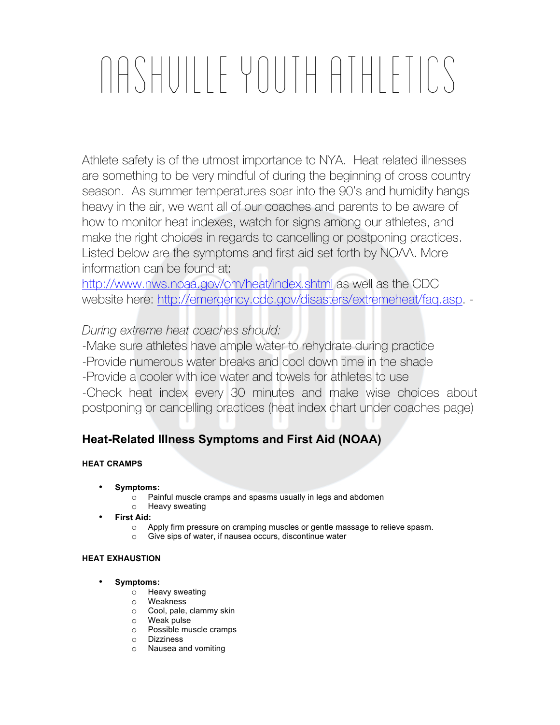# Nashville Youth Athletics

Athlete safety is of the utmost importance to NYA. Heat related illnesses are something to be very mindful of during the beginning of cross country season. As summer temperatures soar into the 90's and humidity hangs heavy in the air, we want all of our coaches and parents to be aware of how to monitor heat indexes, watch for signs among our athletes, and make the right choices in regards to cancelling or postponing practices. Listed below are the symptoms and first aid set forth by NOAA. More information can be found at:

http://www.nws.noaa.gov/om/heat/index.shtml as well as the CDC website here: http://emergency.cdc.gov/disasters/extremeheat/faq.asp. -

*During extreme heat coaches should:*

-Make sure athletes have ample water to rehydrate during practice -Provide numerous water breaks and cool down time in the shade -Provide a cooler with ice water and towels for athletes to use -Check heat index every 30 minutes and make wise choices about postponing or cancelling practices (heat index chart under coaches page)

## **Heat-Related Illness Symptoms and First Aid (NOAA)**

### **HEAT CRAMPS**

- **Symptoms:**
	- o Painful muscle cramps and spasms usually in legs and abdomen
	- o Heavy sweating
- **First Aid:**
	- o Apply firm pressure on cramping muscles or gentle massage to relieve spasm.
	- o Give sips of water, if nausea occurs, discontinue water

#### **HEAT EXHAUSTION**

- **Symptoms:**
	- o Heavy sweating
	- o Weakness
	- o Cool, pale, clammy skin
	- o Weak pulse
	- o Possible muscle cramps
	- o Dizziness
	- o Nausea and vomiting